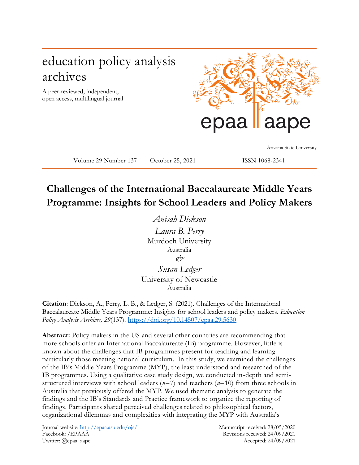# education policy analysis archives

A peer-reviewed, independent, open access, multilingual journal



Arizona State University

**Challenges of the International Baccalaureate Middle Years** 

Volume 29 Number 137 October 25, 2021 ISSN 1068-2341

**Programme: Insights for School Leaders and Policy Makers**

*Anisah Dickson Laura B. Perry* Murdoch University Australia *& Susan Ledger* University of Newcastle

Australia

**Citation**: Dickson, A., Perry, L. B., & Ledger, S. (2021). Challenges of the International Baccalaureate Middle Years Programme: Insights for school leaders and policy makers. *Education Policy Analysis Archives, 29*(137).<https://doi.org/10.14507/epaa.29.5630>

**Abstract:** Policy makers in the US and several other countries are recommending that more schools offer an International Baccalaureate (IB) programme. However, little is known about the challenges that IB programmes present for teaching and learning particularly those meeting national curriculum. In this study, we examined the challenges of the IB's Middle Years Programme (MYP), the least understood and researched of the IB programmes. Using a qualitative case study design, we conducted in-depth and semistructured interviews with school leaders (*n*=7) and teachers (*n*=10) from three schools in Australia that previously offered the MYP. We used thematic analysis to generate the findings and the IB's Standards and Practice framework to organize the reporting of findings. Participants shared perceived challenges related to philosophical factors, organizational dilemmas and complexities with integrating the MYP with Australia's

Journal website:<http://epaa.asu.edu/ojs/> Manuscript received: 28/05/2020 Facebook: /EPAAA Revisions received: 24/09/2021 Twitter: @epaa\_aape Accepted: 24/09/2021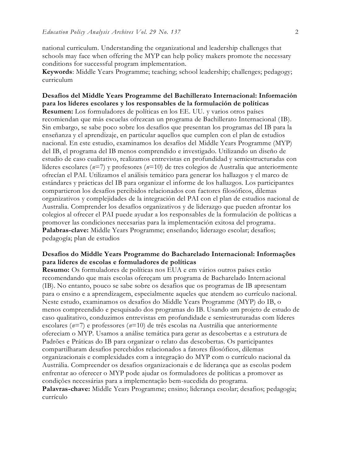national curriculum. Understanding the organizational and leadership challenges that schools may face when offering the MYP can help policy makers promote the necessary conditions for successful program implementation.

**Keywords**: Middle Years Programme; teaching; school leadership; challenges; pedagogy; curriculum

**Desafíos del Middle Years Programme del Bachillerato Internacional: Información para los líderes escolares y los responsables de la formulación de políticas Resumen:** Los formuladores de políticas en los EE. UU. y varios otros países recomiendan que más escuelas ofrezcan un programa de Bachillerato Internacional (IB). Sin embargo, se sabe poco sobre los desafíos que presentan los programas del IB para la enseñanza y el aprendizaje, en particular aquellos que cumplen con el plan de estudios nacional. En este estudio, examinamos los desafíos del Middle Years Programme (MYP) del IB, el programa del IB menos comprendido e investigado. Utilizando un diseño de estudio de caso cualitativo, realizamos entrevistas en profundidad y semiestructuradas con líderes escolares (*n*=7) y profesores (*n*=10) de tres colegios de Australia que anteriormente ofrecían el PAI. Utilizamos el análisis temático para generar los hallazgos y el marco de estándares y prácticas del IB para organizar el informe de los hallazgos. Los participantes compartieron los desafíos percibidos relacionados con factores filosóficos, dilemas organizativos y complejidades de la integración del PAI con el plan de estudios nacional de Australia. Comprender los desafíos organizativos y de liderazgo que pueden afrontar los colegios al ofrecer el PAI puede ayudar a los responsables de la formulación de políticas a promover las condiciones necesarias para la implementación exitosa del programa. **Palabras-clave:** Middle Years Programme; enseñando; liderazgo escolar; desafíos; pedagogía; plan de estudios

#### **Desafios do Middle Years Programme do Bacharelado Internacional: Informações para líderes de escolas e formuladores de políticas**

**Resumo:** Os formuladores de políticas nos EUA e em vários outros países estão recomendando que mais escolas ofereçam um programa de Bacharelado Internacional (IB). No entanto, pouco se sabe sobre os desafios que os programas de IB apresentam para o ensino e a aprendizagem, especialmente aqueles que atendem ao currículo nacional. Neste estudo, examinamos os desafios do Middle Years Programme (MYP) do IB, o menos compreendido e pesquisado dos programas do IB. Usando um projeto de estudo de caso qualitativo, conduzimos entrevistas em profundidade e semiestruturadas com líderes escolares (*n*=7) e professores (*n*=10) de três escolas na Austrália que anteriormente ofereciam o MYP. Usamos a análise temática para gerar as descobertas e a estrutura de Padrões e Práticas do IB para organizar o relato das descobertas. Os participantes compartilharam desafios percebidos relacionados a fatores filosóficos, dilemas organizacionais e complexidades com a integração do MYP com o currículo nacional da Austrália. Compreender os desafios organizacionais e de liderança que as escolas podem enfrentar ao oferecer o MYP pode ajudar os formuladores de políticas a promover as condições necessárias para a implementação bem-sucedida do programa. **Palavras-chave:** Middle Years Programme; ensino; liderança escolar; desafios; pedagogia;

currículo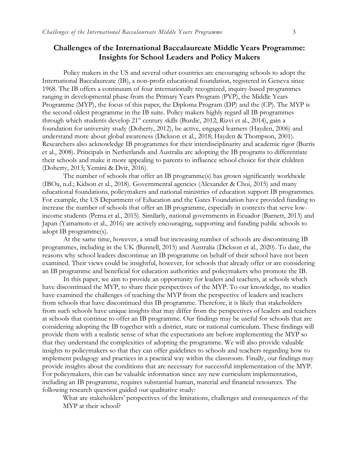### **Challenges of the International Baccalaureate Middle Years Programme: Insights for School Leaders and Policy Makers**

Policy makers in the US and several other countries are encouraging schools to adopt the International Baccalaureate (IB), a non-profit educational foundation, registered in Geneva since 1968. The IB offers a continuum of four internationally recognized, inquiry-based programmes ranging in developmental phase from the Primary Years Program (PYP), the Middle Years Programme (MYP), the focus of this paper, the Diploma Program (DP) and the (CP). The MYP is the second oldest programme in the IB suite. Policy makers highly regard all IB programmes through which students develop  $21^{st}$  century skills (Burdic, 2012; Rizvi et al., 2014), gain a foundation for university study (Doherty, 2012), be active, engaged learners (Hayden, 2006) and understand more about global awareness (Dickson et al., 2018; Hayden & Thompson, 2001). Researchers also acknowledge IB programmes for their interdisciplinarity and academic rigor (Burris et al., 2008). Principals in Netherlands and Australia are adopting the IB programs to differentiate their schools and make it more appealing to parents to influence school choice for their children (Doherty, 2013; Yemini & Dvir, 2016).

The number of schools that offer an IB programme(s) has grown significantly worldwide (IBOa, n.d.; Kidson et al., 2018). Governmental agencies (Alexander & Choi, 2015) and many educational foundations, policymakers and national ministries of education support IB programmes. For example, the US Department of Education and the Gates Foundation have provided funding to increase the number of schools that offer an IB programme, especially in contexts that serve lowincome students (Perna et al., 2015). Similarly, national governments in Ecuador (Barnett, 2013) and Japan (Yamamoto et al., 2016) are actively encouraging, supporting and funding public schools to adopt IB programme(s).

At the same time, however, a small but increasing number of schools are discontinuing IB programmes, including in the UK (Bunnell, 2015) and Australia (Dickson et al., 2020). To date, the reasons why school leaders discontinue an IB programme on behalf of their school have not been examined. Their views could be insightful, however, for schools that already offer or are considering an IB programme and beneficial for education authorities and policymakers who promote the IB.

In this paper, we aim to provide an opportunity for leaders and teachers, at schools which have discontinued the MYP, to share their perspectives of the MYP. To our knowledge, no studies have examined the challenges of teaching the MYP from the perspective of leaders and teachers from schools that have discontinued this IB programme. Therefore, it is likely that stakeholders from such schools have unique insights that may differ from the perspectives of leaders and teachers at schools that continue to offer an IB programme. Our findings may be useful for schools that are considering adopting the IB together with a district, state or national curriculum. These findings will provide them with a realistic sense of what the expectations are before implementing the MYP so that they understand the complexities of adopting the programme. We will also provide valuable insights to policymakers so that they can offer guidelines to schools and teachers regarding how to implement pedagogy and practices in a practical way within the classroom. Finally, our findings may provide insights about the conditions that are necessary for successful implementation of the MYP. For policymakers, this can be valuable information since any new curriculum implementation, including an IB programme, requires substantial human, material and financial resources. The following research question guided our qualitative study:

What are stakeholders' perspectives of the limitations, challenges and consequences of the MYP at their school?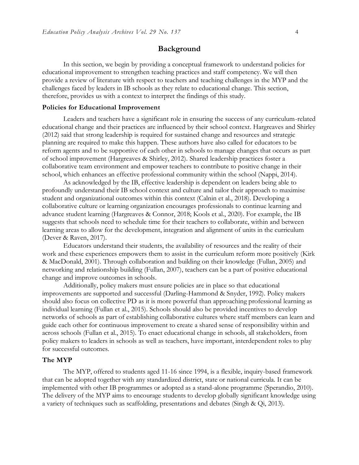#### **Background**

In this section, we begin by providing a conceptual framework to understand policies for educational improvement to strengthen teaching practices and staff competency. We will then provide a review of literature with respect to teachers and teaching challenges in the MYP and the challenges faced by leaders in IB schools as they relate to educational change. This section, therefore, provides us with a context to interpret the findings of this study.

#### **Policies for Educational Improvement**

Leaders and teachers have a significant role in ensuring the success of any curriculum-related educational change and their practices are influenced by their school context. Hargreaves and Shirley (2012) said that strong leadership is required for sustained change and resources and strategic planning are required to make this happen. These authors have also called for educators to be reform agents and to be supportive of each other in schools to manage changes that occurs as part of school improvement (Hargreaves & Shirley, 2012). Shared leadership practices foster a collaborative team environment and empower teachers to contribute to positive change in their school, which enhances an effective professional community within the school (Nappi, 2014).

As acknowledged by the IB, effective leadership is dependent on leaders being able to profoundly understand their IB school context and culture and tailor their approach to maximise student and organizational outcomes within this context (Calnin et al., 2018). Developing a collaborative culture or learning organization encourages professionals to continue learning and advance student learning (Hargreaves & Connor, 2018; Kools et al., 2020). For example, the IB suggests that schools need to schedule time for their teachers to collaborate, within and between learning areas to allow for the development, integration and alignment of units in the curriculum (Dever & Raven, 2017).

Educators understand their students, the availability of resources and the reality of their work and these experiences empowers them to assist in the curriculum reform more positively (Kirk & MacDonald, 2001). Through collaboration and building on their knowledge (Fullan, 2005) and networking and relationship building (Fullan, 2007), teachers can be a part of positive educational change and improve outcomes in schools.

Additionally, policy makers must ensure policies are in place so that educational improvements are supported and successful (Darling-Hammond & Snyder, 1992). Policy makers should also focus on collective PD as it is more powerful than approaching professional learning as individual learning (Fullan et al., 2015). Schools should also be provided incentives to develop networks of schools as part of establishing collaborative cultures where staff members can learn and guide each other for continuous improvement to create a shared sense of responsibility within and across schools (Fullan et al., 2015). To enact educational change in schools, all stakeholders, from policy makers to leaders in schools as well as teachers, have important, interdependent roles to play for successful outcomes.

#### **The MYP**

The MYP, offered to students aged 11-16 since 1994, is a flexible, inquiry-based framework that can be adopted together with any standardized district, state or national curricula. It can be implemented with other IB programmes or adopted as a stand-alone programme (Sperandio, 2010). The delivery of the MYP aims to encourage students to develop globally significant knowledge using a variety of techniques such as scaffolding, presentations and debates (Singh & Qi, 2013).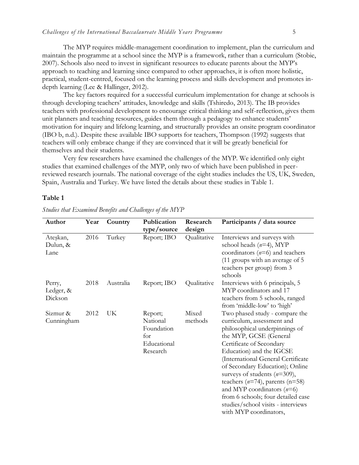The MYP requires middle-management coordination to implement, plan the curriculum and maintain the programme at a school since the MYP is a framework, rather than a curriculum (Stobie, 2007). Schools also need to invest in significant resources to educate parents about the MYP's approach to teaching and learning since compared to other approaches, it is often more holistic, practical, student-centred, focused on the learning process and skills development and promotes indepth learning (Lee & Hallinger, 2012).

The key factors required for a successful curriculum implementation for change at schools is through developing teachers' attitudes, knowledge and skills (Tshiredo, 2013). The IB provides teachers with professional development to encourage critical thinking and self-reflection, gives them unit planners and teaching resources, guides them through a pedagogy to enhance students' motivation for inquiry and lifelong learning, and structurally provides an onsite program coordinator (IBO b, n.d.). Despite these available IBO supports for teachers, Thompson (1992) suggests that teachers will only embrace change if they are convinced that it will be greatly beneficial for themselves and their students.

Very few researchers have examined the challenges of the MYP. We identified only eight studies that examined challenges of the MYP, only two of which have been published in peerreviewed research journals. The national coverage of the eight studies includes the US, UK, Sweden, Spain, Australia and Turkey. We have listed the details about these studies in Table 1.

#### **Table 1**

| Author                         | Year | Country   | Publication<br>type/source                                          | Research<br>design | Participants / data source                                                                                                                                                                                                                                                                                                                                                                                                                                                 |
|--------------------------------|------|-----------|---------------------------------------------------------------------|--------------------|----------------------------------------------------------------------------------------------------------------------------------------------------------------------------------------------------------------------------------------------------------------------------------------------------------------------------------------------------------------------------------------------------------------------------------------------------------------------------|
| Ateşkan,<br>Dulun, &<br>Lane   | 2016 | Turkey    | Report; IBO                                                         | Qualitative        | Interviews and surveys with<br>school heads $(n=4)$ , MYP<br>coordinators $(n=6)$ and teachers<br>(11 groups with an average of 5<br>teachers per group) from 3<br>schools                                                                                                                                                                                                                                                                                                 |
| Perry,<br>Ledger, &<br>Dickson | 2018 | Australia | Report; IBO                                                         | Qualitative        | Interviews with 6 principals, 5<br>MYP coordinators and 17<br>teachers from 5 schools, ranged<br>from 'middle-low' to 'high'                                                                                                                                                                                                                                                                                                                                               |
| Sizmur &<br>Cunningham         | 2012 | UK        | Report;<br>National<br>Foundation<br>for<br>Educational<br>Research | Mixed<br>methods   | Two phased study - compare the<br>curriculum, assessment and<br>philosophical underpinnings of<br>the MYP, GCSE (General<br>Certificate of Secondary<br>Education) and the IGCSE<br>(International General Certificate<br>of Secondary Education); Online<br>surveys of students $(n=309)$ ,<br>teachers $(n=74)$ , parents $(n=58)$<br>and MYP coordinators $(n=6)$<br>from 6 schools; four detailed case<br>studies/school visits - interviews<br>with MYP coordinators. |

*Studies that Examined Benefits and Challenges of the MYP*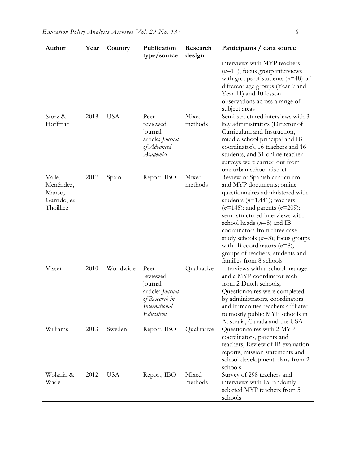| Author                                                   | Year | Country    | Publication<br>type/source                                                                              | Research<br>design | Participants / data source                                                                                                                                                                                                                                                                                                                                                                                          |
|----------------------------------------------------------|------|------------|---------------------------------------------------------------------------------------------------------|--------------------|---------------------------------------------------------------------------------------------------------------------------------------------------------------------------------------------------------------------------------------------------------------------------------------------------------------------------------------------------------------------------------------------------------------------|
|                                                          |      |            |                                                                                                         |                    | interviews with MYP teachers<br>$(n=11)$ , focus group interviews<br>with groups of students $(n=48)$ of<br>different age groups (Year 9 and<br>Year 11) and 10 lesson<br>observations across a range of<br>subject areas                                                                                                                                                                                           |
| Storz &<br>Hoffman                                       | 2018 | <b>USA</b> | Peer-<br>reviewed<br>journal<br>article; Journal<br>of Advanced<br>Academics                            | Mixed<br>methods   | Semi-structured interviews with 3<br>key administrators (Director of<br>Curriculum and Instruction,<br>middle school principal and IB<br>coordinator), 16 teachers and 16<br>students, and 31 online teacher<br>surveys were carried out from<br>one urban school district                                                                                                                                          |
| Valle,<br>Menéndez,<br>Manso,<br>Garrido, &<br>Thoilliez | 2017 | Spain      | Report; IBO                                                                                             | Mixed<br>methods   | Review of Spanish curriculum<br>and MYP documents; online<br>questionnaires administered with<br>students $(n=1,441)$ ; teachers<br>$(n=148)$ ; and parents $(n=209)$ ;<br>semi-structured interviews with<br>school heads $(n=8)$ and IB<br>coordinators from three case-<br>study schools $(n=3)$ ; focus groups<br>with IB coordinators $(n=8)$ ,<br>groups of teachers, students and<br>families from 8 schools |
| Visser                                                   | 2010 | Worldwide  | Peer-<br>reviewed<br>journal<br>article; Journal<br>of Research in<br><i>International</i><br>Education | Qualitative        | Interviews with a school manager<br>and a MYP coordinator each<br>from 2 Dutch schools;<br>Questionnaires were completed<br>by administrators, coordinators<br>and humanities teachers affiliated<br>to mostly public MYP schools in<br>Australia, Canada and the USA                                                                                                                                               |
| Williams                                                 | 2013 | Sweden     | Report; IBO                                                                                             | Qualitative        | Questionnaires with 2 MYP<br>coordinators, parents and<br>teachers; Review of IB evaluation<br>reports, mission statements and<br>school development plans from 2<br>schools                                                                                                                                                                                                                                        |
| Wolanin &<br>Wade                                        | 2012 | <b>USA</b> | Report; IBO                                                                                             | Mixed<br>methods   | Survey of 298 teachers and<br>interviews with 15 randomly<br>selected MYP teachers from 5<br>schools                                                                                                                                                                                                                                                                                                                |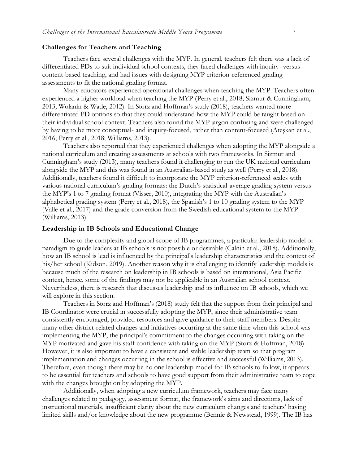#### **Challenges for Teachers and Teaching**

Teachers face several challenges with the MYP. In general, teachers felt there was a lack of differentiated PDs to suit individual school contexts, they faced challenges with inquiry- versus content-based teaching, and had issues with designing MYP criterion-referenced grading assessments to fit the national grading format.

Many educators experienced operational challenges when teaching the MYP. Teachers often experienced a higher workload when teaching the MYP (Perry et al., 2018; Sizmur & Cunningham, 2013; Wolanin & Wade, 2012). In Storz and Hoffman's study (2018), teachers wanted more differentiated PD options so that they could understand how the MYP could be taught based on their individual school context. Teachers also found the MYP jargon confusing and were challenged by having to be more conceptual- and inquiry-focused, rather than content-focused (Ateşkan et al., 2016; Perry et al., 2018; Williams, 2013).

Teachers also reported that they experienced challenges when adopting the MYP alongside a national curriculum and creating assessments at schools with two frameworks. In Sizmur and Cunningham's study (2013), many teachers found it challenging to run the UK national curriculum alongside the MYP and this was found in an Australian-based study as well (Perry et al., 2018). Additionally, teachers found it difficult to incorporate the MYP criterion-referenced scales with various national curriculum's grading formats: the Dutch's statistical-average grading system versus the MYP's 1 to 7 grading format (Visser, 2010), integrating the MYP with the Australian's alphabetical grading system (Perry et al., 2018), the Spanish's 1 to 10 grading system to the MYP (Valle et al., 2017) and the grade conversion from the Swedish educational system to the MYP (Williams, 2013).

#### **Leadership in IB Schools and Educational Change**

Due to the complexity and global scope of IB programmes, a particular leadership model or paradigm to guide leaders at IB schools is not possible or desirable (Calnin et al., 2018). Additionally, how an IB school is lead is influenced by the principal's leadership characteristics and the context of his/her school (Kidson, 2019). Another reason why it is challenging to identify leadership models is because much of the research on leadership in IB schools is based on international, Asia Pacific context, hence, some of the findings may not be applicable in an Australian school context. Nevertheless, there is research that discusses leadership and its influence on IB schools, which we will explore in this section.

Teachers in Storz and Hoffman's (2018) study felt that the support from their principal and IB Coordinator were crucial in successfully adopting the MYP, since their administrative team consistently encouraged, provided resources and gave guidance to their staff members. Despite many other district-related changes and initiatives occurring at the same time when this school was implementing the MYP, the principal's commitment to the changes occurring with taking on the MYP motivated and gave his staff confidence with taking on the MYP (Storz & Hoffman, 2018). However, it is also important to have a consistent and stable leadership team so that program implementation and changes occurring in the school is effective and successful (Williams, 2013). Therefore, even though there may be no one leadership model for IB schools to follow, it appears to be essential for teachers and schools to have good support from their administrative team to cope with the changes brought on by adopting the MYP.

Additionally, when adopting a new curriculum framework, teachers may face many challenges related to pedagogy, assessment format, the framework's aims and directions, lack of instructional materials, insufficient clarity about the new curriculum changes and teachers' having limited skills and/or knowledge about the new programme (Bennie & Newstead, 1999). The IB has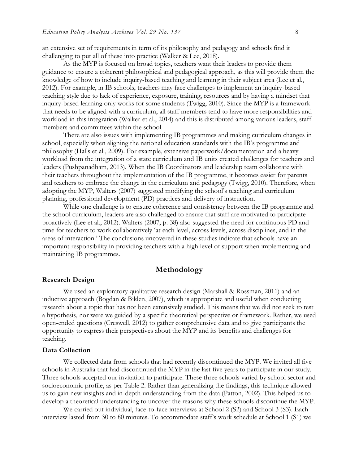an extensive set of requirements in term of its philosophy and pedagogy and schools find it challenging to put all of these into practice (Walker & Lee, 2018).

As the MYP is focused on broad topics, teachers want their leaders to provide them guidance to ensure a coherent philosophical and pedagogical approach, as this will provide them the knowledge of how to include inquiry-based teaching and learning in their subject area (Lee et al., 2012). For example, in IB schools, teachers may face challenges to implement an inquiry-based teaching style due to lack of experience, exposure, training, resources and by having a mindset that inquiry-based learning only works for some students (Twigg, 2010). Since the MYP is a framework that needs to be aligned with a curriculum, all staff members tend to have more responsibilities and workload in this integration (Walker et al., 2014) and this is distributed among various leaders, staff members and committees within the school.

There are also issues with implementing IB programmes and making curriculum changes in school, especially when aligning the national education standards with the IB's programme and philosophy (Halls et al., 2009). For example, extensive paperwork/documentation and a heavy workload from the integration of a state curriculum and IB units created challenges for teachers and leaders (Pushpanadham, 2013). When the IB Coordinators and leadership team collaborate with their teachers throughout the implementation of the IB programme, it becomes easier for parents and teachers to embrace the change in the curriculum and pedagogy (Twigg, 2010). Therefore, when adopting the MYP, Walters (2007) suggested modifying the school's teaching and curriculum planning, professional development (PD) practices and delivery of instruction.

While one challenge is to ensure coherence and consistency between the IB programme and the school curriculum, leaders are also challenged to ensure that staff are motivated to participate proactively (Lee et al., 2012). Walters (2007, p. 38) also suggested the need for continuous PD and time for teachers to work collaboratively 'at each level, across levels, across disciplines, and in the areas of interaction.' The conclusions uncovered in these studies indicate that schools have an important responsibility in providing teachers with a high level of support when implementing and maintaining IB programmes.

#### **Methodology**

#### **Research Design**

We used an exploratory qualitative research design (Marshall & Rossman, 2011) and an inductive approach (Bogdan & Biklen, 2007), which is appropriate and useful when conducting research about a topic that has not been extensively studied. This means that we did not seek to test a hypothesis, nor were we guided by a specific theoretical perspective or framework. Rather, we used open-ended questions (Creswell, 2012) to gather comprehensive data and to give participants the opportunity to express their perspectives about the MYP and its benefits and challenges for teaching.

#### **Data Collection**

We collected data from schools that had recently discontinued the MYP. We invited all five schools in Australia that had discontinued the MYP in the last five years to participate in our study. Three schools accepted our invitation to participate. These three schools varied by school sector and socioeconomic profile, as per Table 2. Rather than generalizing the findings, this technique allowed us to gain new insights and in-depth understanding from the data (Patton, 2002). This helped us to develop a theoretical understanding to uncover the reasons why these schools discontinue the MYP.

We carried out individual, face-to-face interviews at School 2 (S2) and School 3 (S3). Each interview lasted from 30 to 80 minutes. To accommodate staff's work schedule at School 1 (S1) we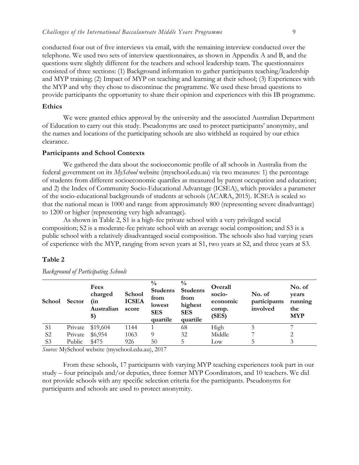conducted four out of five interviews via email, with the remaining interview conducted over the telephone. We used two sets of interview questionnaires, as shown in Appendix A and B, and the questions were slightly different for the teachers and school leadership team. The questionnaires consisted of three sections: (1) Background information to gather participants teaching/leadership and MYP training; (2) Impact of MYP on teaching and learning at their school; (3) Experiences with the MYP and why they chose to discontinue the programme. We used these broad questions to provide participants the opportunity to share their opinion and experiences with this IB programme.

#### **Ethics**

We were granted ethics approval by the university and the associated Australian Department of Education to carry out this study. Pseudonyms are used to protect participants' anonymity, and the names and locations of the participating schools are also withheld as required by our ethics clearance.

#### **Participants and School Contexts**

We gathered the data about the socioeconomic profile of all schools in Australia from the federal government on its *MySchool* website (myschool.edu.au) via two measures: 1) the percentage of students from different socioeconomic quartiles as measured by parent occupation and education; and 2) the Index of Community Socio-Educational Advantage (ICSEA), which provides a parameter of the socio-educational backgrounds of students at schools (ACARA, 2015). ICSEA is scaled so that the national mean is 1000 and range from approximately 800 (representing severe disadvantage) to 1200 or higher (representing very high advantage).

As shown in Table 2, S1 is a high-fee private school with a very privileged social composition; S2 is a moderate-fee private school with an average social composition; and S3 is a public school with a relatively disadvantaged social composition. The schools also had varying years of experience with the MYP, ranging from seven years at S1, two years at S2, and three years at S3.

#### **Table 2**

| <b>School</b>  | <b>Sector</b> | Fees<br>charged<br>(in<br>Australian<br>\$) | School<br><b>ICSEA</b><br>score | $\frac{0}{0}$<br><b>Students</b><br>from<br>lowest<br><b>SES</b><br>quartile | $\frac{0}{0}$<br><b>Students</b><br>from<br>highest<br><b>SES</b><br>quartile | Overall<br>socio-<br>economic<br>comp.<br>(SES) | No. of<br>participants<br>involved | No. of<br>years<br>running<br>the<br><b>MYP</b> |
|----------------|---------------|---------------------------------------------|---------------------------------|------------------------------------------------------------------------------|-------------------------------------------------------------------------------|-------------------------------------------------|------------------------------------|-------------------------------------------------|
| S <sub>1</sub> | Private       | \$19,604                                    | 1144                            |                                                                              | 68                                                                            | High                                            |                                    |                                                 |
| S <sub>2</sub> | Private       | \$6,954                                     | 1063                            | Q                                                                            | 32                                                                            | Middle                                          |                                    |                                                 |
| S <sub>3</sub> | Public        | \$475                                       | 926                             | 50                                                                           | 5.                                                                            | Low                                             |                                    |                                                 |

*Background of Participating Schools*

*Source:* MySchool website (myschool.edu.au), 2017

From these schools, 17 participants with varying MYP teaching experiences took part in our study – four principals and/or deputies, three former MYP Coordinators, and 10 teachers. We did not provide schools with any specific selection criteria for the participants. Pseudonyms for participants and schools are used to protect anonymity.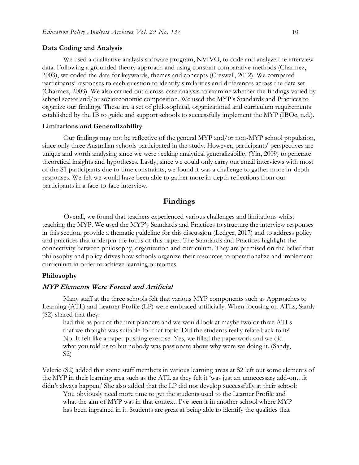#### **Data Coding and Analysis**

We used a qualitative analysis software program, NVIVO, to code and analyze the interview data. Following a grounded theory approach and using constant comparative methods (Charmez, 2003), we coded the data for keywords, themes and concepts (Creswell, 2012). We compared participants' responses to each question to identify similarities and differences across the data set (Charmez, 2003). We also carried out a cross-case analysis to examine whether the findings varied by school sector and/or socioeconomic composition. We used the MYP's Standards and Practices to organize our findings. These are a set of philosophical, organizational and curriculum requirements established by the IB to guide and support schools to successfully implement the MYP (IBOc, n.d.).

#### **Limitations and Generalizability**

Our findings may not be reflective of the general MYP and/or non-MYP school population, since only three Australian schools participated in the study. However, participants' perspectives are unique and worth analysing since we were seeking analytical generalizability (Yin, 2009) to generate theoretical insights and hypotheses. Lastly, since we could only carry out email interviews with most of the S1 participants due to time constraints, we found it was a challenge to gather more in-depth responses. We felt we would have been able to gather more in-depth reflections from our participants in a face-to-face interview.

#### **Findings**

Overall, we found that teachers experienced various challenges and limitations whilst teaching the MYP. We used the MYP's Standards and Practices to structure the interview responses in this section, provide a thematic guideline for this discussion (Ledger, 2017) and to address policy and practices that underpin the focus of this paper. The Standards and Practices highlight the connectivity between philosophy, organization and curriculum. They are premised on the belief that philosophy and policy drives how schools organize their resources to operationalize and implement curriculum in order to achieve learning outcomes.

#### **Philosophy**

#### **MYP Elements Were Forced and Artificial**

Many staff at the three schools felt that various MYP components such as Approaches to Learning (ATL) and Learner Profile (LP) were embraced artificially. When focusing on ATLs, Sandy (S2) shared that they:

had this as part of the unit planners and we would look at maybe two or three ATLs that we thought was suitable for that topic: Did the students really relate back to it? No. It felt like a paper-pushing exercise. Yes, we filled the paperwork and we did what you told us to but nobody was passionate about why were we doing it. (Sandy, S2)

Valerie (S2) added that some staff members in various learning areas at S2 left out some elements of the MYP in their learning area such as the ATL as they felt it 'was just an unnecessary add-on…it didn't always happen.' She also added that the LP did not develop successfully at their school:

You obviously need more time to get the students used to the Learner Profile and what the aim of MYP was in that context. I've seen it in another school where MYP has been ingrained in it. Students are great at being able to identify the qualities that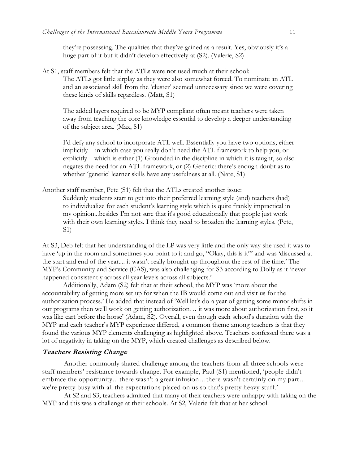they're possessing. The qualities that they've gained as a result. Yes, obviously it's a huge part of it but it didn't develop effectively at (S2). (Valerie, S2)

At S1, staff members felt that the ATLs were not used much at their school: The ATLs got little airplay as they were also somewhat forced. To nominate an ATL and an associated skill from the 'cluster' seemed unnecessary since we were covering these kinds of skills regardless. (Matt, S1)

The added layers required to be MYP compliant often meant teachers were taken away from teaching the core knowledge essential to develop a deeper understanding of the subject area. (Max, S1)

I'd defy any school to incorporate ATL well. Essentially you have two options; either implicitly – in which case you really don't need the ATL framework to help you, or explicitly – which is either (1) Grounded in the discipline in which it is taught, so also negates the need for an ATL framework, or (2) Generic: there's enough doubt as to whether 'generic' learner skills have any usefulness at all. (Nate, S1)

Another staff member, Pete (S1) felt that the ATLs created another issue: Suddenly students start to get into their preferred learning style (and) teachers (had) to individualize for each student's learning style which is quite frankly impractical in my opinion...besides I'm not sure that it's good educationally that people just work with their own learning styles. I think they need to broaden the learning styles. (Pete,

S1)

At S3, Deb felt that her understanding of the LP was very little and the only way she used it was to have 'up in the room and sometimes you point to it and go, "Okay, this is it" and was 'discussed at the start and end of the year.... it wasn't really brought up throughout the rest of the time.' The MYP's Community and Service (CAS), was also challenging for S3 according to Dolly as it 'never happened consistently across all year levels across all subjects.'

Additionally, Adam (S2) felt that at their school, the MYP was 'more about the accountability of getting more set up for when the IB would come out and visit us for the authorization process.' He added that instead of 'Well let's do a year of getting some minor shifts in our programs then we'll work on getting authorization… it was more about authorization first, so it was like cart before the horse' (Adam, S2). Overall, even though each school's duration with the MYP and each teacher's MYP experience differed, a common theme among teachers is that they found the various MYP elements challenging as highlighted above. Teachers confessed there was a lot of negativity in taking on the MYP, which created challenges as described below.

#### **Teachers Resisting Change**

Another commonly shared challenge among the teachers from all three schools were staff members' resistance towards change. For example, Paul (S1) mentioned, 'people didn't embrace the opportunity…there wasn't a great infusion…there wasn't certainly on my part… we're pretty busy with all the expectations placed on us so that's pretty heavy stuff.'

At S2 and S3, teachers admitted that many of their teachers were unhappy with taking on the MYP and this was a challenge at their schools. At S2, Valerie felt that at her school: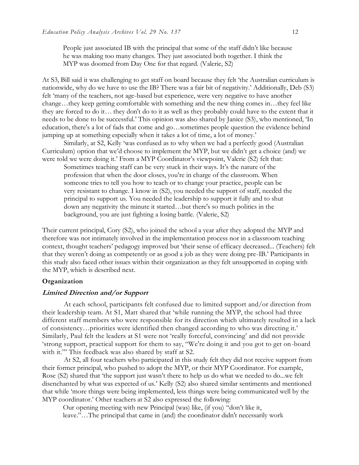People just associated IB with the principal that some of the staff didn't like because he was making too many changes. They just associated both together. I think the MYP was doomed from Day One for that regard. (Valerie, S2)

At S3, Bill said it was challenging to get staff on board because they felt 'the Australian curriculum is nationwide, why do we have to use the IB? There was a fair bit of negativity.' Additionally, Deb (S3) felt 'many of the teachers, not age-based but experience, were very negative to have another change…they keep getting comfortable with something and the new thing comes in…they feel like they are forced to do it… they don't do to it as well as they probably could have to the extent that it needs to be done to be successful.' This opinion was also shared by Janice (S3), who mentioned, 'In education, there's a lot of fads that come and go…sometimes people question the evidence behind jumping up at something especially when it takes a lot of time, a lot of money.'

Similarly, at S2, Kelly 'was confused as to why when we had a perfectly good (Australian Curriculum) option that we'd choose to implement the MYP, but we didn't get a choice (and) we were told we were doing it.' From a MYP Coordinator's viewpoint, Valerie (S2) felt that:

Sometimes teaching staff can be very stuck in their ways. It's the nature of the profession that when the door closes, you're in charge of the classroom. When someone tries to tell you how to teach or to change your practice, people can be very resistant to change. I know in (S2), you needed the support of staff, needed the principal to support us. You needed the leadership to support it fully and to shut down any negativity the minute it started…but there's so much politics in the background, you are just fighting a losing battle. (Valerie, S2)

Their current principal, Cory (S2), who joined the school a year after they adopted the MYP and therefore was not intimately involved in the implementation process nor in a classroom teaching context, thought teachers' pedagogy improved but 'their sense of efficacy decreased... (Teachers) felt that they weren't doing as competently or as good a job as they were doing pre-IB.' Participants in this study also faced other issues within their organization as they felt unsupported in coping with the MYP, which is described next.

#### **Organization**

#### **Limited Direction and/or Support**

At each school, participants felt confused due to limited support and/or direction from their leadership team. At S1, Matt shared that 'while running the MYP, the school had three different staff members who were responsible for its direction which ultimately resulted in a lack of consistency…priorities were identified then changed according to who was directing it.' Similarly, Paul felt the leaders at S1 were not 'really forceful, convincing' and did not provide 'strong support, practical support for them to say, "We're doing it and you got to get on-board with it."' This feedback was also shared by staff at S2.

At S2, all four teachers who participated in this study felt they did not receive support from their former principal, who pushed to adopt the MYP, or their MYP Coordinator. For example, Rose (S2) shared that 'the support just wasn't there to help us do what we needed to do...we felt disenchanted by what was expected of us.' Kelly (S2) also shared similar sentiments and mentioned that while 'more things were being implemented, less things were being communicated well by the MYP coordinator.' Other teachers at S2 also expressed the following:

Our opening meeting with new Principal (was) like, (if you) "don't like it, leave."…The principal that came in (and) the coordinator didn't necessarily work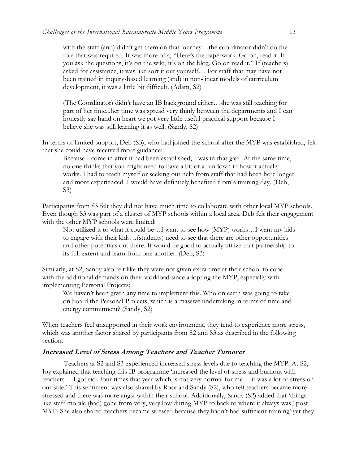with the staff (and) didn't get them on that journey…the coordinator didn't do the role that was required. It was more of a, "Here's the paperwork. Go on, read it. If you ask the questions, it's on the wiki, it's on the blog. Go on read it." If (teachers) asked for assistance, it was like sort it out yourself… For staff that may have not been trained in inquiry-based learning (and) in non-linear models of curriculum development, it was a little bit difficult. (Adam, S2)

(The Coordinator) didn't have an IB background either…she was still teaching for part of her time...her time was spread very thinly between the departments and I can honestly say hand on heart we got very little useful practical support because I believe she was still learning it as well. (Sandy, S2)

In terms of limited support, Deb (S3), who had joined the school after the MYP was established, felt that she could have received more guidance:

Because I come in after it had been established, I was in that gap...At the same time, no one thinks that you might need to have a bit of a rundown in how it actually works. I had to teach myself or seeking out help from staff that had been here longer and more experienced. I would have definitely benefited from a training day. (Deb, S3)

Participants from S3 felt they did not have much time to collaborate with other local MYP schools. Even though S3 was part of a cluster of MYP schools within a local area, Deb felt their engagement with the other MYP schools were limited:

Not utilized it to what it could be…I want to see how (MYP) works…I want my kids to engage with their kids…(students) need to see that there are other opportunities and other potentials out there. It would be good to actually utilize that partnership to its full extent and learn from one another. (Deb, S3)

Similarly, at S2, Sandy also felt like they were not given extra time at their school to cope with the additional demands on their workload since adopting the MYP, especially with implementing Personal Projects:

We haven't been given any time to implement this. Who on earth was going to take on board the Personal Projects, which is a massive undertaking in terms of time and energy commitment? (Sandy, S2)

When teachers feel unsupported in their work environment, they tend to experience more stress, which was another factor shared by participants from S2 and S3 as described in the following section.

#### **Increased Level of Stress Among Teachers and Teacher Turnover**

Teachers at S2 and S3 experienced increased stress levels due to teaching the MYP. At S2, Joy explained that teaching this IB programme 'increased the level of stress and burnout with teachers… I got sick four times that year which is not very normal for me… it was a lot of stress on our side.' This sentiment was also shared by Rose and Sandy (S2), who felt teachers became more stressed and there was more angst within their school. Additionally, Sandy (S2) added that 'things like staff morale (had) gone from very, very low during MYP to back to where it always was,' post-MYP. She also shared 'teachers became stressed because they hadn't had sufficient training' yet they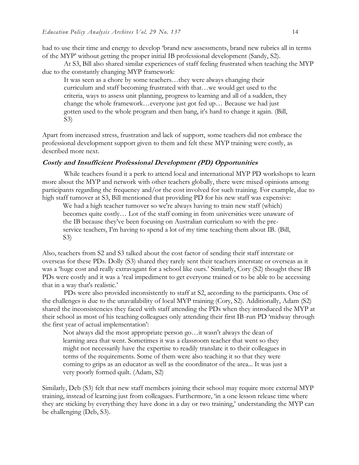had to use their time and energy to develop 'brand new assessments, brand new rubrics all in terms of the MYP' without getting the proper initial IB professional development (Sandy, S2).

At S3, Bill also shared similar experiences of staff feeling frustrated when teaching the MYP due to the constantly changing MYP framework:

It was seen as a chore by some teachers…they were always changing their curriculum and staff becoming frustrated with that…we would get used to the criteria, ways to assess unit planning, progress to learning and all of a sudden, they change the whole framework…everyone just got fed up… Because we had just gotten used to the whole program and then bang, it's hard to change it again. (Bill, S3)

Apart from increased stress, frustration and lack of support, some teachers did not embrace the professional development support given to them and felt these MYP training were costly, as described more next.

#### **Costly and Insufficient Professional Development (PD) Opportunities**

While teachers found it a perk to attend local and international MYP PD workshops to learn more about the MYP and network with other teachers globally, there were mixed opinions among participants regarding the frequency and/or the cost involved for such training. For example, due to high staff turnover at S3, Bill mentioned that providing PD for his new staff was expensive:

We had a high teacher turnover so we're always having to train new staff (which) becomes quite costly… Lot of the staff coming in from universities were unaware of the IB because they've been focusing on Australian curriculum so with the preservice teachers, I'm having to spend a lot of my time teaching them about IB. (Bill, S3)

Also, teachers from S2 and S3 talked about the cost factor of sending their staff interstate or overseas for these PDs. Dolly (S3) shared they rarely sent their teachers interstate or overseas as it was a 'huge cost and really extravagant for a school like ours.' Similarly, Cory (S2) thought these IB PDs were costly and it was a 'real impediment to get everyone trained or to be able to be accessing that in a way that's realistic.'

PDs were also provided inconsistently to staff at S2, according to the participants. One of the challenges is due to the unavailability of local MYP training (Cory, S2). Additionally, Adam (S2) shared the inconsistencies they faced with staff attending the PDs when they introduced the MYP at their school as most of his teaching colleagues only attending their first IB-run PD 'midway through the first year of actual implementation':

Not always did the most appropriate person go…it wasn't always the dean of learning area that went. Sometimes it was a classroom teacher that went so they might not necessarily have the expertise to readily translate it to their colleagues in terms of the requirements. Some of them were also teaching it so that they were coming to grips as an educator as well as the coordinator of the area... It was just a very poorly formed quilt. (Adam, S2)

Similarly, Deb (S3) felt that new staff members joining their school may require more external MYP training, instead of learning just from colleagues. Furthermore, 'in a one lesson release time where they are sticking by everything they have done in a day or two training,' understanding the MYP can be challenging (Deb, S3).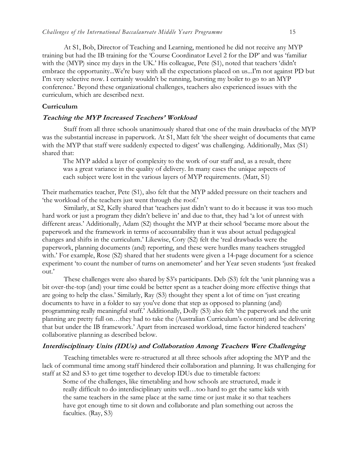At S1, Bob, Director of Teaching and Learning, mentioned he did not receive any MYP training but had the IB training for the 'Course Coordinator Level 2 for the DP' and was 'familiar with the (MYP) since my days in the UK.' His colleague, Pete (S1), noted that teachers 'didn't embrace the opportunity...We're busy with all the expectations placed on us...I'm not against PD but I'm very selective now. I certainly wouldn't be running, bursting my boiler to go to an MYP conference.' Beyond these organizational challenges, teachers also experienced issues with the curriculum, which are described next.

#### **Curriculum**

#### **Teaching the MYP Increased Teachers' Workload**

Staff from all three schools unanimously shared that one of the main drawbacks of the MYP was the substantial increase in paperwork. At S1, Matt felt 'the sheer weight of documents that came with the MYP that staff were suddenly expected to digest' was challenging. Additionally, Max (S1) shared that:

The MYP added a layer of complexity to the work of our staff and, as a result, there was a great variance in the quality of delivery. In many cases the unique aspects of each subject were lost in the various layers of MYP requirements. (Matt, S1)

Their mathematics teacher, Pete (S1), also felt that the MYP added pressure on their teachers and 'the workload of the teachers just went through the roof.'

Similarly, at S2, Kelly shared that 'teachers just didn't want to do it because it was too much hard work or just a program they didn't believe in' and due to that, they had 'a lot of unrest with different areas.' Additionally, Adam (S2) thought the MYP at their school 'became more about the paperwork and the framework in terms of accountability than it was about actual pedagogical changes and shifts in the curriculum.' Likewise, Cory (S2) felt the 'real drawbacks were the paperwork, planning documents (and) reporting, and these were hurdles many teachers struggled with.' For example, Rose (S2) shared that her students were given a 14-page document for a science experiment 'to count the number of turns on anemometer' and her Year seven students 'just freaked out.'

These challenges were also shared by S3's participants. Deb (S3) felt the 'unit planning was a bit over-the-top (and) your time could be better spent as a teacher doing more effective things that are going to help the class.' Similarly, Ray (S3) thought they spent a lot of time on 'just creating documents to have in a folder to say you've done that step as opposed to planning (and) programming really meaningful stuff.' Additionally, Dolly (S3) also felt 'the paperwork and the unit planning are pretty full on…they had to take the (Australian Curriculum's content) and be delivering that but under the IB framework.' Apart from increased workload, time factor hindered teachers' collaborative planning as described below.

#### **Interdisciplinary Units (IDUs) and Collaboration Among Teachers Were Challenging**

Teaching timetables were re-structured at all three schools after adopting the MYP and the lack of communal time among staff hindered their collaboration and planning. It was challenging for staff at S2 and S3 to get time together to develop IDUs due to timetable factors:

Some of the challenges, like timetabling and how schools are structured, made it really difficult to do interdisciplinary units well…too hard to get the same kids with the same teachers in the same place at the same time or just make it so that teachers have got enough time to sit down and collaborate and plan something out across the faculties. (Ray, S3)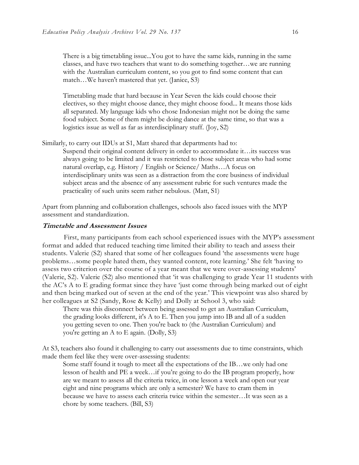There is a big timetabling issue...You got to have the same kids, running in the same classes, and have two teachers that want to do something together…we are running with the Australian curriculum content, so you got to find some content that can match…We haven't mastered that yet. (Janice, S3)

Timetabling made that hard because in Year Seven the kids could choose their electives, so they might choose dance, they might choose food... It means those kids all separated. My language kids who chose Indonesian might not be doing the same food subject. Some of them might be doing dance at the same time, so that was a logistics issue as well as far as interdisciplinary stuff. (Joy, S2)

Similarly, to carry out IDUs at S1, Matt shared that departments had to: Suspend their original content delivery in order to accommodate it…its success was always going to be limited and it was restricted to those subject areas who had some natural overlap, e.g. History / English or Science/ Maths…A focus on interdisciplinary units was seen as a distraction from the core business of individual subject areas and the absence of any assessment rubric for such ventures made the practicality of such units seem rather nebulous. (Matt, S1)

Apart from planning and collaboration challenges, schools also faced issues with the MYP assessment and standardization.

#### **Timetable and Assessment Issues**

First, many participants from each school experienced issues with the MYP's assessment format and added that reduced teaching time limited their ability to teach and assess their students. Valerie (S2) shared that some of her colleagues found 'the assessments were huge problems…some people hated them, they wanted content, rote learning.' She felt 'having to assess two criterion over the course of a year meant that we were over-assessing students' (Valerie, S2). Valerie (S2) also mentioned that 'it was challenging to grade Year 11 students with the AC's A to E grading format since they have 'just come through being marked out of eight and then being marked out of seven at the end of the year.' This viewpoint was also shared by her colleagues at S2 (Sandy, Rose & Kelly) and Dolly at School 3, who said:

There was this disconnect between being assessed to get an Australian Curriculum, the grading looks different, it's A to E. Then you jump into IB and all of a sudden you getting seven to one. Then you're back to (the Australian Curriculum) and you're getting an A to E again. (Dolly, S3)

At S3, teachers also found it challenging to carry out assessments due to time constraints, which made them feel like they were over-assessing students:

Some staff found it tough to meet all the expectations of the IB...we only had one lesson of health and PE a week…if you're going to do the IB program properly, how are we meant to assess all the criteria twice, in one lesson a week and open our year eight and nine programs which are only a semester? We have to cram them in because we have to assess each criteria twice within the semester…It was seen as a chore by some teachers. (Bill, S3)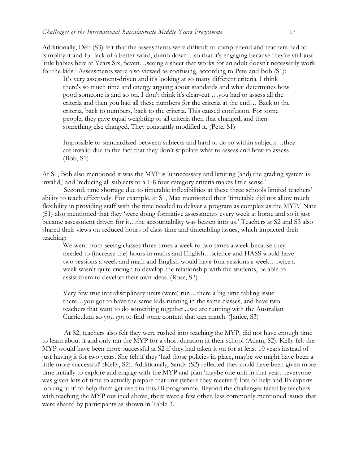Additionally, Deb (S3) felt that the assessments were difficult to comprehend and teachers had to 'simplify it and for lack of a better word, dumb down…so that it's engaging because they're still just little babies here at Years Six, Seven…seeing a sheet that works for an adult doesn't necessarily work for the kids.' Assessments were also viewed as confusing, according to Pete and Bob (S1):

It's very assessment-driven and it's looking at so many different criteria. I think there's so much time and energy arguing about standards and what determines how good someone is and so on. I don't think it's clear-cut …you had to assess all the criteria and then you had all these numbers for the criteria at the end… Back to the criteria, back to numbers, back to the criteria. This caused confusion. For some people, they gave equal weighting to all criteria then that changed, and then something else changed. They constantly modified it. (Pete, S1)

Impossible to standardized between subjects and hard to do so within subjects…they are invalid due to the fact that they don't stipulate what to assess and how to assess. (Bob, S1)

At S1, Bob also mentioned it was the MYP is 'unnecessary and limiting (and) the grading system is invalid,' and 'reducing all subjects to a 1-8 four category criteria makes little sense.'

Second, time shortage due to timetable inflexibilities at these three schools limited teachers' ability to teach effectively. For example, at S1, Max mentioned their 'timetable did not allow much flexibility in providing staff with the time needed to deliver a program as complex as the MYP.' Nate (S1) also mentioned that they 'were doing formative assessments every week at home and so it just became assessment driven for it…the accountability was beaten into us.' Teachers at S2 and S3 also shared their views on reduced hours of class time and timetabling issues, which impacted their teaching:

We went from seeing classes three times a week to two times a week because they needed to (increase the) hours in maths and English…science and HASS would have two sessions a week and math and English would have four sessions a week…twice a week wasn't quite enough to develop the relationship with the students, be able to assist them to develop their own ideas. (Rose, S2)

Very few true interdisciplinary units (were) run…there a big time tabling issue there…you got to have the same kids running in the same classes, and have two teachers that want to do something together....we are running with the Australian Curriculum so you got to find some content that can match. (Janice, S3)

At S2, teachers also felt they were rushed into teaching the MYP, did not have enough time to learn about it and only ran the MYP for a short duration at their school (Adam, S2). Kelly felt the MYP would have been more successful at S2 if they had taken it on for at least 10 years instead of just having it for two years. She felt if they 'had those policies in place, maybe we might have been a little more successful' (Kelly, S2). Additionally, Sandy (S2) reflected they could have been given more time initially to explore and engage with the MYP and plan 'maybe one unit in that year…everyone was given lots of time to actually prepare that unit (where they received) lots of help and IB experts looking at it' to help them get used to this IB programme. Beyond the challenges faced by teachers with teaching the MYP outlined above, there were a few other, less commonly mentioned issues that were shared by participants as shown in Table 3.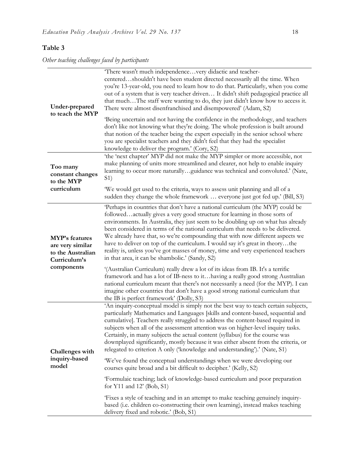# **Table 3**

*Other teaching challenges faced by participants*

| Under-prepared<br>to teach the MYP                                                           | 'There wasn't much independencevery didactic and teacher-<br>centeredshouldn't have been student directed necessarily all the time. When<br>you're 13-year-old, you need to learn how to do that. Particularly, when you come<br>out of a system that is very teacher driven It didn't shift pedagogical practice all<br>that muchThe staff were wanting to do, they just didn't know how to access it.<br>There were almost disenfranchised and disempowered' (Adam, S2)<br>Being uncertain and not having the confidence in the methodology, and teachers<br>don't like not knowing what they're doing. The whole profession is built around<br>that notion of the teacher being the expert especially in the senior school where<br>you are specialist teachers and they didn't feel that they had the specialist                                                                                                                                                                        |  |  |  |  |  |
|----------------------------------------------------------------------------------------------|---------------------------------------------------------------------------------------------------------------------------------------------------------------------------------------------------------------------------------------------------------------------------------------------------------------------------------------------------------------------------------------------------------------------------------------------------------------------------------------------------------------------------------------------------------------------------------------------------------------------------------------------------------------------------------------------------------------------------------------------------------------------------------------------------------------------------------------------------------------------------------------------------------------------------------------------------------------------------------------------|--|--|--|--|--|
| Too many<br>constant changes<br>to the MYP                                                   | knowledge to deliver the program.' (Cory, S2)<br>'the 'next chapter' MYP did not make the MYP simpler or more accessible, not<br>make planning of units more streamlined and clearer, not help to enable inquiry<br>learning to occur more naturallyguidance was technical and convoluted.' (Nate,<br>S <sub>1</sub> )                                                                                                                                                                                                                                                                                                                                                                                                                                                                                                                                                                                                                                                                      |  |  |  |  |  |
| curriculum                                                                                   | We would get used to the criteria, ways to assess unit planning and all of a<br>sudden they change the whole framework  everyone just got fed up.' (Bill, S3)                                                                                                                                                                                                                                                                                                                                                                                                                                                                                                                                                                                                                                                                                                                                                                                                                               |  |  |  |  |  |
| <b>MYP's features</b><br>are very similar<br>to the Australian<br>Curriculum's<br>components | Perhaps in countries that don't have a national curriculum (the MYP) could be<br>followedactually gives a very good structure for learning in those sorts of<br>environments. In Australia, they just seem to be doubling up on what has already<br>been considered in terms of the national curriculum that needs to be delivered.<br>We already have that, so we're compounding that with now different aspects we<br>have to deliver on top of the curriculum. I would say it's great in theorythe<br>reality is, unless you've got masses of money, time and very experienced teachers<br>in that area, it can be shambolic.' (Sandy, S2)<br>'(Australian Curriculum) really drew a lot of its ideas from IB. It's a terrific<br>framework and has a lot of IB-ness to ithaving a really good strong Australian<br>national curriculum meant that there's not necessarily a need (for the MYP). I can<br>imagine other countries that don't have a good strong national curriculum that |  |  |  |  |  |
| Challenges with<br>inquiry-based<br>model                                                    | the IB is perfect framework' (Dolly, S3)<br>'An inquiry-conceptual model is simply not the best way to teach certain subjects,<br>particularly Mathematics and Languages [skills and content-based, sequential and<br>cumulative]. Teachers really struggled to address the content-based required in<br>subjects when all of the assessment attention was on higher-level inquiry tasks.<br>Certainly, in many subjects the actual content (syllabus) for the course was<br>downplayed significantly, mostly because it was either absent from the criteria, or<br>relegated to criterion A only ('knowledge and understanding').' (Nate, S1)<br>"We've found the conceptual understandings when we were developing our<br>courses quite broad and a bit difficult to decipher.' (Kelly, S2)                                                                                                                                                                                               |  |  |  |  |  |
|                                                                                              | 'Formulaic teaching; lack of knowledge-based curriculum and poor preparation<br>for $Y11$ and $12'$ (Bob, S1)                                                                                                                                                                                                                                                                                                                                                                                                                                                                                                                                                                                                                                                                                                                                                                                                                                                                               |  |  |  |  |  |
|                                                                                              | Fixes a style of teaching and in an attempt to make teaching genuinely inquiry-<br>based (i.e. children co-constructing their own learning), instead makes teaching<br>delivery fixed and robotic.' (Bob, S1)                                                                                                                                                                                                                                                                                                                                                                                                                                                                                                                                                                                                                                                                                                                                                                               |  |  |  |  |  |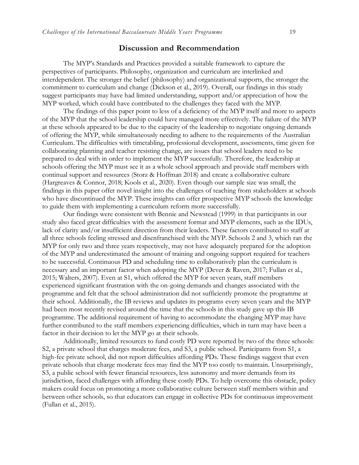#### **Discussion and Recommendation**

The MYP's Standards and Practices provided a suitable framework to capture the perspectives of participants. Philosophy, organization and curriculum are interlinked and interdependent. The stronger the belief (philosophy) and organizational supports, the stronger the commitment to curriculum and change (Dickson et al., 2019). Overall, our findings in this study suggest participants may have had limited understanding, support and/or appreciation of how the MYP worked, which could have contributed to the challenges they faced with the MYP.

The findings of this paper point to less of a deficiency of the MYP itself and more to aspects of the MYP that the school leadership could have managed more effectively. The failure of the MYP at these schools appeared to be due to the capacity of the leadership to negotiate ongoing demands of offering the MYP, while simultaneously needing to adhere to the requirements of the Australian Curriculum. The difficulties with timetabling, professional development, assessments, time given for collaborating planning and teacher resisting change, are issues that school leaders need to be prepared to deal with in order to implement the MYP successfully. Therefore, the leadership at schools offering the MYP must see it as a whole school approach and provide staff members with continual support and resources (Storz & Hoffman 2018) and create a collaborative culture (Hargreaves & Connor, 2018; Kools et al., 2020). Even though our sample size was small, the findings in this paper offer novel insight into the challenges of teaching from stakeholders at schools who have discontinued the MYP. These insights can offer prospective MYP schools the knowledge to guide them with implementing a curriculum reform more successfully.

Our findings were consistent with Bennie and Newstead (1999) in that participants in our study also faced great difficulties with the assessment format and MYP elements, such as the IDUs, lack of clarity and/or insufficient direction from their leaders. These factors contributed to staff at all three schools feeling stressed and disenfranchised with the MYP. Schools 2 and 3, which ran the MYP for only two and three years respectively, may not have adequately prepared for the adoption of the MYP and underestimated the amount of training and ongoing support required for teachers to be successful. Continuous PD and scheduling time to collaboratively plan the curriculum is necessary and an important factor when adopting the MYP (Dever & Raven, 2017; Fullan et al., 2015; Walters, 2007). Even at S1, which offered the MYP for seven years, staff members experienced significant frustration with the on-going demands and changes associated with the programme and felt that the school administration did not sufficiently promote the programme at their school. Additionally, the IB reviews and updates its programs every seven years and the MYP had been most recently revised around the time that the schools in this study gave up this IB programme. The additional requirement of having to accommodate the changing MYP may have further contributed to the staff members experiencing difficulties, which in turn may have been a factor in their decision to let the MYP go at their schools.

Additionally, limited resources to fund costly PD were reported by two of the three schools: S2, a private school that charges moderate fees, and S3, a public school. Participants from S1, a high-fee private school, did not report difficulties affording PDs. These findings suggest that even private schools that charge moderate fees may find the MYP too costly to maintain. Unsurprisingly, S3, a public school with fewer financial resources, less autonomy and more demands from its jurisdiction, faced challenges with affording these costly PDs. To help overcome this obstacle, policy makers could focus on promoting a more collaborative culture between staff members within and between other schools, so that educators can engage in collective PDs for continuous improvement (Fullan et al., 2015).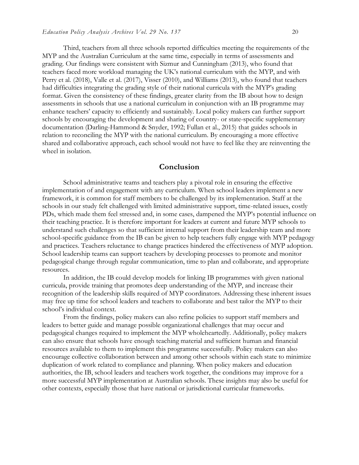Third, teachers from all three schools reported difficulties meeting the requirements of the MYP and the Australian Curriculum at the same time, especially in terms of assessments and grading. Our findings were consistent with Sizmur and Cunningham (2013), who found that teachers faced more workload managing the UK's national curriculum with the MYP, and with Perry et al. (2018), Valle et al. (2017), Visser (2010), and Williams (2013), who found that teachers had difficulties integrating the grading style of their national curricula with the MYP's grading format. Given the consistency of these findings, greater clarity from the IB about how to design assessments in schools that use a national curriculum in conjunction with an IB programme may enhance teachers' capacity to efficiently and sustainably. Local policy makers can further support schools by encouraging the development and sharing of country- or state-specific supplementary documentation (Darling-Hammond & Snyder, 1992; Fullan et al., 2015) that guides schools in relation to reconciling the MYP with the national curriculum. By encouraging a more effective shared and collaborative approach, each school would not have to feel like they are reinventing the wheel in isolation.

#### **Conclusion**

School administrative teams and teachers play a pivotal role in ensuring the effective implementation of and engagement with any curriculum. When school leaders implement a new framework, it is common for staff members to be challenged by its implementation. Staff at the schools in our study felt challenged with limited administrative support, time-related issues, costly PDs, which made them feel stressed and, in some cases, dampened the MYP's potential influence on their teaching practice. It is therefore important for leaders at current and future MYP schools to understand such challenges so that sufficient internal support from their leadership team and more school-specific guidance from the IB can be given to help teachers fully engage with MYP pedagogy and practices. Teachers reluctance to change practices hindered the effectiveness of MYP adoption. School leadership teams can support teachers by developing processes to promote and monitor pedagogical change through regular communication, time to plan and collaborate, and appropriate resources.

In addition, the IB could develop models for linking IB programmes with given national curricula, provide training that promotes deep understanding of the MYP, and increase their recognition of the leadership skills required of MYP coordinators. Addressing these inherent issues may free up time for school leaders and teachers to collaborate and best tailor the MYP to their school's individual context.

From the findings, policy makers can also refine policies to support staff members and leaders to better guide and manage possible organizational challenges that may occur and pedagogical changes required to implement the MYP wholeheartedly. Additionally, policy makers can also ensure that schools have enough teaching material and sufficient human and financial resources available to them to implement this programme successfully. Policy makers can also encourage collective collaboration between and among other schools within each state to minimize duplication of work related to compliance and planning. When policy makers and education authorities, the IB, school leaders and teachers work together, the conditions may improve for a more successful MYP implementation at Australian schools. These insights may also be useful for other contexts, especially those that have national or jurisdictional curricular frameworks.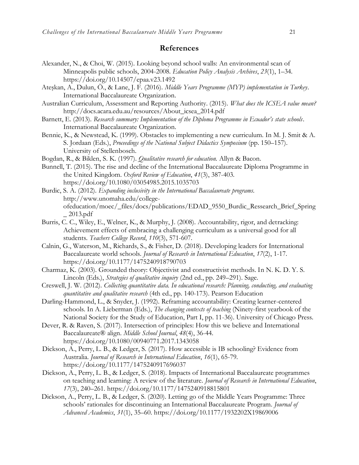#### **References**

- Alexander, N., & Choi, W. (2015). Looking beyond school walls: An environmental scan of Minneapolis public schools, 2004-2008. *Education Policy Analysis Archives*, *23*(1), 1–34. <https://doi.org/10.14507/epaa.v23.1492>
- Ateşkan, A., Dulun, Ö., & Lane, J. F. (2016). *Middle Years Programme (MYP) implementation in Turkey*. International Baccalaureate Organization.
- Australian Curriculum, Assessment and Reporting Authority. (2015). *What does the ICSEA value mean?* [http://docs.acara.edu.au/resources/About\\_icsea\\_2014.pdf](http://docs.acara.edu.au/resources/About_icsea_2014.pdf)
- Barnett, E. (2013). *Research summary: Implementation of the Diploma Programme in Ecuador's state schools*. International Baccalaureate Organization.
- Bennie, K., & Newstead, K. (1999). Obstacles to implementing a new curriculum. In M. J. Smit & A. S. Jordaan (Eds.), *Proceedings of the National Subject Didactics Symposium* (pp. 150–157). University of Stellenbosch.
- Bogdan, R., & Biklen, S. K. (1997). *Qualitative research for education.* Allyn & Bacon.
- Bunnell, T. (2015). The rise and decline of the International Baccalaureate Diploma Programme in the United Kingdom. *Oxford Review of Education*, *41*(3), 387-403. <https://doi.org/10.1080/03054985.2015.1035703>
- Burdic, S. A. (2012). *Expanding inclusivity in the International Baccalaureate programs.* [http://www.unomaha.edu/college](http://www.unomaha.edu/college-ofeducation/moec/_files/docs/publications/EDAD_9550_Burdic_Ressearch_Brief_Spring_%202013.pdf)[ofeducation/moec/\\_files/docs/publications/EDAD\\_9550\\_Burdic\\_Ressearch\\_Brief\\_Spring](http://www.unomaha.edu/college-ofeducation/moec/_files/docs/publications/EDAD_9550_Burdic_Ressearch_Brief_Spring_%202013.pdf) [\\_ 2013.pdf](http://www.unomaha.edu/college-ofeducation/moec/_files/docs/publications/EDAD_9550_Burdic_Ressearch_Brief_Spring_%202013.pdf)
- Burris, C. C., Wiley, E., Welner, K., & Murphy, J. (2008). Accountability, rigor, and detracking: Achievement effects of embracing a challenging curriculum as a universal good for all students. *Teachers College Record*, *110*(3), 571-607.
- Calnin, G., Waterson, M., Richards, S., & Fisher, D. (2018). Developing leaders for International Baccalaureate world schools. *Journal of Research in International Education*, *17*(2), 1-17. <https://doi.org/10.1177/1475240918790703>
- Charmaz, K. (2003). Grounded theory: Objectivist and constructivist methods. In N. K. D. Y. S. Lincoln (Eds.), *Strategies of qualitative inquiry* (2nd ed., pp. 249–291). Sage.
- Creswell, J. W. (2012). *Collecting quantitative data. In educational research: Planning, conducting, and evaluating quantitative and qualitative research* (4th ed., pp. 140-173). Pearson Education
- Darling-Hammond, L., & Snyder, J. (1992). Reframing accountability: Creating learner-centered schools. In A. Lieberman (Eds.), *The changing contexts of teaching* (Ninety-first yearbook of the National Society for the Study of Education, Part I, pp. 11-36). University of Chicago Press.
- Dever, R. & Raven, S. (2017). Intersection of principles: How this we believe and International Baccalaureate® align. *Middle School Journal*, *48*(4), 36-44. <https://doi.org/10.1080/00940771.2017.1343058>
- Dickson, A., Perry, L. B., & Ledger, S. (2017). How accessible is IB schooling? Evidence from Australia. *Journal of Research in International Education*, *16*(1), 65-79. <https://doi.org/10.1177/1475240917696037>
- Dickson, A., Perry, L. B., & Ledger, S. (2018). Impacts of International Baccalaureate programmes on teaching and learning: A review of the literature. *Journal of Research in International Education*, *17*(3), 240–261.<https://doi.org/10.1177/1475240918815801>
- Dickson, A., Perry, L. B., & Ledger, S. (2020). Letting go of the Middle Years Programme: Three schools' rationales for discontinuing an International Baccalaureate Program. *Journal of Advanced Academics*, *31*(1), 35–60. <https://doi.org/10.1177/1932202X19869006>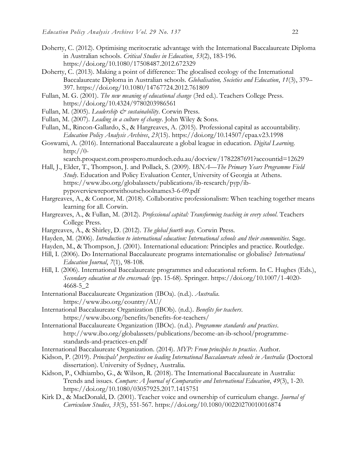- Doherty, C. (2012). Optimising meritocratic advantage with the International Baccalaureate Diploma in Australian schools. *Critical Studies in Education*, *53*(2), 183-196. <https://doi.org/10.1080/17508487.2012.672329>
- Doherty, C. (2013). Making a point of difference: The glocalised ecology of the International Baccalaureate Diploma in Australian schools. *Globalisation, Societies and Education*, *11*(3), 379– 397.<https://doi.org/10.1080/14767724.2012.761809>
- Fullan, M. G. (2001). *The new meaning of educational change* (3rd ed.). Teachers College Press. <https://doi.org/10.4324/9780203986561>
- Fullan, M. (2005). *Leadership & sustainability*. Corwin Press.
- Fullan, M. (2007). *Leading in a culture of change*. John Wiley & Sons.
- Fullan, M., Rincon-Gallardo, S., & Hargreaves, A. (2015). Professional capital as accountability. *Education Policy Analysis Archives*, *23*(15).<https://doi.org/10.14507/epaa.v23.1998>
- Goswami, A. (2016). International Baccalaureate a global league in education. *Digital Learning*. http:// $0-$

[search.proquest.com.prospero.murdoch.edu.au/docview/1782287691?accountid=12629](http://0-search.proquest.com.prospero.murdoch.edu.au/docview/1782287691?accountid=12629)

- Hall, J., Elder, T., Thompson, J. and Pollack, S. (2009). I*BNA—The Primary Years Programme Field Study*. Education and Policy Evaluation Center, University of Georgia at Athens. [https://www.ibo.org/globalassets/publications/ib-research/pyp/ib](https://www.ibo.org/globalassets/publications/ib-research/pyp/ib-pypoverviewreportwithoutschoolnames3-6-09.pdf)[pypoverviewreportwithoutschoolnames3-6-09.pdf](https://www.ibo.org/globalassets/publications/ib-research/pyp/ib-pypoverviewreportwithoutschoolnames3-6-09.pdf)
- Hargreaves, A., & Connor, M. (2018). Collaborative professionalism: When teaching together means learning for all. Corwin.
- Hargreaves, A., & Fullan, M. (2012). *Professional capital: Transforming teaching in every school.* Teachers College Press.
- Hargreaves, A., & Shirley, D. (2012). *The global fourth way.* Corwin Press.
- Hayden, M. (2006). *Introduction to international education: International schools and their communities*. Sage.
- Hayden, M., & Thompson, J. (2001). International education: Principles and practice. Routledge.
- Hill, I. (2006). Do International Baccalaureate programs internationalise or globalise? *International Education Journal*, *7*(1), 98-108.
- Hill, I. (2006). International Baccalaureate programmes and educational reform. In C. Hughes (Eds.), *Secondary education at the crossroads* (pp. 15-68). Springer. [https://doi.org/10.1007/1-4020-](https://doi.org/10.1007/1-4020-4668-5_2) [4668-5\\_2](https://doi.org/10.1007/1-4020-4668-5_2)
- International Baccalaureate Organization (IBOa). (n.d.). *Australia*. <https://www.ibo.org/country/AU/>
- International Baccalaureate Organization (IBOb). (n.d.). *Benefits for teachers*. <https://www.ibo.org/benefits/benefits-for-teachers/>
- International Baccalaureate Organization (IBOc). (n.d.). *Programme standards and practices*. [http://www.ibo.org/globalassets/publications/become-an-ib-school/programme](http://www.ibo.org/globalassets/publications/become-an-ib-school/programme-standards-and-practices-en.pdf)[standards-and-practices-en.pdf](http://www.ibo.org/globalassets/publications/become-an-ib-school/programme-standards-and-practices-en.pdf)
- International Baccalaureate Organization. (2014). *MYP: From principles to practice*. Author.
- Kidson, P. (2019). *Principals' perspectives on leading International Baccalaureate schools in Australia* (Doctoral dissertation). University of Sydney, Australia.
- Kidson, P., Odhiambo, G., & Wilson, R. (2018). The International Baccalaureate in Australia: Trends and issues. *Compare: A Journal of Comparative and International Education*, *49*(3), 1-20. <https://doi.org/10.1080/03057925.2017.1415751>
- Kirk D., & MacDonald, D. (2001). Teacher voice and ownership of curriculum change. *Journal of Curriculum Studies*, *33*(5), 551-567.<https://doi.org/10.1080/00220270010016874>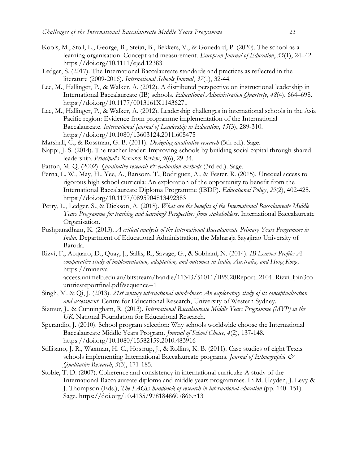- Kools, M., Stoll, L., George, B., Steijn, B., Bekkers, V., & Gouedard, P. (2020). The school as a learning organisation: Concept and measurement. *European Journal of Education*, *55*(1), 24–42. <https://doi.org/10.1111/ejed.12383>
- Ledger, S. (2017). The International Baccalaureate standards and practices as reflected in the literature (2009-2016). *International Schools Journal*, *37*(1), 32-44.
- Lee, M., Hallinger, P., & Walker, A. (2012). A distributed perspective on instructional leadership in International Baccalaureate (IB) schools. *Educational Administration Quarterly*, *48*(4), 664–698. <https://doi.org/10.1177/0013161X11436271>
- Lee, M., Hallinger, P., & Walker, A. (2012). Leadership challenges in international schools in the Asia Pacific region: Evidence from programme implementation of the International Baccalaureate. *International Journal of Leadership in Education*, *15*(3), 289-310. <https://doi.org/10.1080/13603124.2011.605475>
- Marshall, C., & Rossman, G. B. (2011). *Designing qualitative research* (5th ed.). Sage.
- Nappi, J. S. (2014). The teacher leader: Improving schools by building social capital through shared leadership. *Principal's Research Review*, *9*(6), 29-34.
- Patton, M. Q. (2002). *Qualitative research*  $\mathcal{O}$  *evaluation methods* (3rd ed.). Sage.
- Perna, L. W., May, H., Yee, A., Ransom, T., Rodriguez, A., & Fester, R. (2015). Unequal access to rigorous high school curricula: An exploration of the opportunity to benefit from the International Baccalaureate Diploma Programme (IBDP). *Educational Policy*, *29*(2), 402-425. <https://doi.org/10.1177/0895904813492383>
- Perry, L., Ledger, S., & Dickson, A. (2018). *What are the benefits of the International Baccalaureate Middle Years Programme for teaching and learning? Perspectives from stakeholders*. International Baccalaureate Organisation.
- Pushpanadham, K. (2013). *A critical analysis of the International Baccalaureate Primary Years Programme in India.* Department of Educational Administration, the Maharaja Sayajirao University of Baroda.
- Rizvi, F., Acquaro, D., Quay, J., Sallis, R., Savage, G., & Sobhani, N. (2014). *IB Learner Profile: A comparative study of implementation, adaptation, and outcomes in India, Australia, and Hong Kong*. [https://minerva](https://minerva-access.unimelb.edu.au/bitstream/handle/11343/51011/IB%20Report_2104_Rizvi_lpin3countriesreportfinal.pdf?sequence=1)[access.unimelb.edu.au/bitstream/handle/11343/51011/IB%20Report\\_2104\\_Rizvi\\_lpin3co](https://minerva-access.unimelb.edu.au/bitstream/handle/11343/51011/IB%20Report_2104_Rizvi_lpin3countriesreportfinal.pdf?sequence=1) [untriesreportfinal.pdf?sequence=1](https://minerva-access.unimelb.edu.au/bitstream/handle/11343/51011/IB%20Report_2104_Rizvi_lpin3countriesreportfinal.pdf?sequence=1)
- Singh, M. & Qi, J. (2013). *21st century international mindedness: An exploratory study of its conceptualisation and assessment*. Centre for Educational Research, University of Western Sydney.
- Sizmur, J., & Cunningham, R. (2013). *International Baccalaureate Middle Years Programme (MYP) in the UK*. National Foundation for Educational Research.
- Sperandio, J. (2010). School program selection: Why schools worldwide choose the International Baccalaureate Middle Years Program. *Journal of School Choice*, *4*(2), 137-148. <https://doi.org/10.1080/15582159.2010.483916>
- Stillisano, J. R., Waxman, H. C., Hostrup, J., & Rollins, K. B. (2011). Case studies of eight Texas schools implementing International Baccalaureate programs. *Journal of Ethnographic & Qualitative Research*, *5*(3), 171-185.
- Stobie, T. D. (2007). Coherence and consistency in international curricula: A study of the International Baccalaureate diploma and middle years programmes. In M. Hayden, J. Levy & J. Thompson (Eds.), *The SAGE handbook of research in international education* (pp. 140–151). Sage. <https://doi.org/10.4135/9781848607866.n13>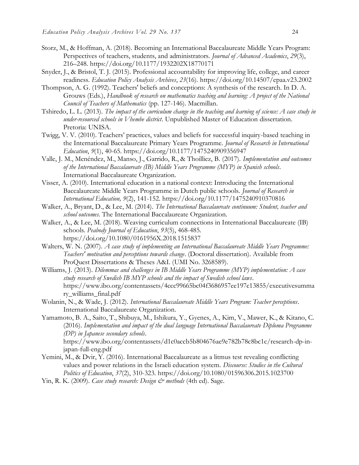- Storz, M., & Hoffman, A. (2018). Becoming an International Baccalaureate Middle Years Program: Perspectives of teachers, students, and administrators. *Journal of Advanced Academics*, *29*(3), 216–248.<https://doi.org/10.1177/1932202X18770171>
- Snyder, J., & Bristol, T. J. (2015). Professional accountability for improving life, college, and career readiness. *Education Policy Analysis Archives*, *23*(16).<https://doi.org/10.14507/epaa.v23.2002>
- Thompson, A. G. (1992). Teachers' beliefs and conceptions: A synthesis of the research. In D. A. Grouws (Eds.), *Handbook of research on mathematics teaching and learning: A project of the National Council of Teachers of Mathematics* (pp. 127-146). Macmillan.
- Tshiredo, L. L. (2013). *The impact of the curriculum change in the teaching and learning of science: A case study in under-resourced schools in Vhembe district*. Unpublished Master of Education dissertation. Pretoria: UNISA.
- Twigg, V. V. (2010). Teachers' practices, values and beliefs for successful inquiry-based teaching in the International Baccalaureate Primary Years Programme. *Journal of Research in International Education*, *9*(1), 40-65. <https://doi.org/10.1177/1475240909356947>
- Valle, J. M., Menéndez, M., Manso, J., Garrido, R., & Thoilliez, B. (2017). *Implementation and outcomes of the International Baccalaureate (IB) Middle Years Programme (MYP) in Spanish schools*. International Baccalaureate Organization.
- Visser, A. (2010). International education in a national context: Introducing the International Baccalaureate Middle Years Programme in Dutch public schools. *Journal of Research in International Education, 9*(2), 141-152.<https://doi.org/10.1177/1475240910370816>
- Walker, A., Bryant, D., & Lee, M. (2014). *The International Baccalaureate continuum: Student, teacher and school outcomes.* The International Baccalaureate Organization.
- Walker, A., & Lee, M. (2018). Weaving curriculum connections in International Baccalaureate (IB) schools. *Peabody Journal of Education*, *93*(5), 468-485. <https://doi.org/10.1080/0161956X.2018.1515837>
- Walters, W. N. (2007). *A case study of implementing an International Baccalaureate Middle Years Programme: Teachers' motivation and perceptions towards change*. (Doctoral dissertation). Available from ProQuest Dissertations & Theses A&I. (UMI No. 3268589).
- Williams, J. (2013). *Dilemmas and challenges in IB Middle Years Programme (MYP) implementation: A case study research of Swedish IB MYP schools and the impact of Swedish school laws*. [https://www.ibo.org/contentassets/4ccc99665bc04f3686957ee197c13855/executivesumma](https://www.ibo.org/contentassets/4ccc99665bc04f3686957ee197c13855/executivesummary_williams_final.pdf) [ry\\_williams\\_final.pdf](https://www.ibo.org/contentassets/4ccc99665bc04f3686957ee197c13855/executivesummary_williams_final.pdf)
- Wolanin, N., & Wade, J. (2012). *International Baccalaureate Middle Years Program: Teacher perceptions*. International Baccalaureate Organization.
- Yamamoto, B. A., Saito, T., Shibuya, M., Ishikura, Y., Gyenes, A., Kim, V., Mawer, K., & Kitano, C. (2016). *Implementation and impact of the dual language International Baccalaureate Diploma Programme (DP) in Japanese secondary schools*.

[https://www.ibo.org/contentassets/d1c0accb5b804676ae9e782b78c8bc1c/research-dp-in](https://www.ibo.org/contentassets/d1c0accb5b804676ae9e782b78c8bc1c/research-dp-in-japan-full-eng.pdf)[japan-full-eng.pdf](https://www.ibo.org/contentassets/d1c0accb5b804676ae9e782b78c8bc1c/research-dp-in-japan-full-eng.pdf)

- Yemini, M., & Dvir, Y. (2016). International Baccalaureate as a litmus test revealing conflicting values and power relations in the Israeli education system. *Discourse: Studies in the Cultural Politics of Education*, *37*(2), 310-323. <https://doi.org/10.1080/01596306.2015.1023700>
- Yin, R. K. (2009). *Case study research: Design & methods* (4th ed). Sage.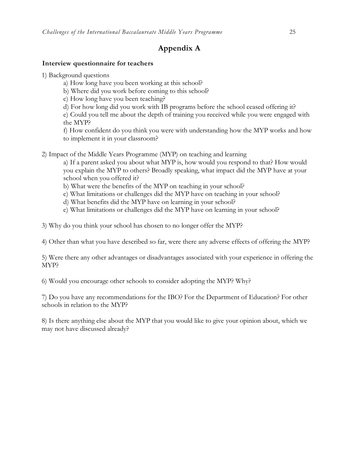# **Appendix A**

#### **Interview questionnaire for teachers**

- 1) Background questions
	- a) How long have you been working at this school?
	- b) Where did you work before coming to this school?
	- c) How long have you been teaching?
	- d) For how long did you work with IB programs before the school ceased offering it?

e) Could you tell me about the depth of training you received while you were engaged with the MYP?

f) How confident do you think you were with understanding how the MYP works and how to implement it in your classroom?

2) Impact of the Middle Years Programme (MYP) on teaching and learning

a) If a parent asked you about what MYP is, how would you respond to that? How would you explain the MYP to others? Broadly speaking, what impact did the MYP have at your school when you offered it?

- b) What were the benefits of the MYP on teaching in your school?
- c) What limitations or challenges did the MYP have on teaching in your school?
- d) What benefits did the MYP have on learning in your school?
- e) What limitations or challenges did the MYP have on learning in your school?

3) Why do you think your school has chosen to no longer offer the MYP?

4) Other than what you have described so far, were there any adverse effects of offering the MYP?

5) Were there any other advantages or disadvantages associated with your experience in offering the MYP?

6) Would you encourage other schools to consider adopting the MYP? Why?

7) Do you have any recommendations for the IBO? For the Department of Education? For other schools in relation to the MYP?

8) Is there anything else about the MYP that you would like to give your opinion about, which we may not have discussed already?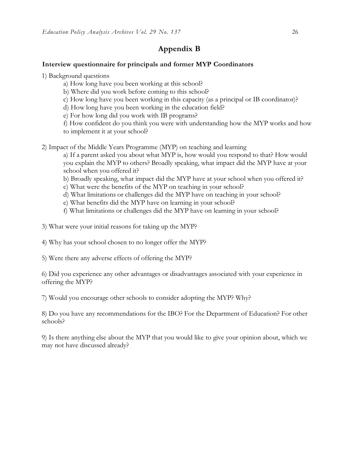## **Appendix B**

#### **Interview questionnaire for principals and former MYP Coordinators**

- 1) Background questions
	- a) How long have you been working at this school?
	- b) Where did you work before coming to this school?
	- c) How long have you been working in this capacity (as a principal or IB coordinator)?
	- d) How long have you been working in the education field?
	- e) For how long did you work with IB programs?
	- f) How confident do you think you were with understanding how the MYP works and how to implement it at your school?
- 2) Impact of the Middle Years Programme (MYP) on teaching and learning
	- a) If a parent asked you about what MYP is, how would you respond to that? How would you explain the MYP to others? Broadly speaking, what impact did the MYP have at your school when you offered it?
	- b) Broadly speaking, what impact did the MYP have at your school when you offered it?
	- c) What were the benefits of the MYP on teaching in your school?
	- d) What limitations or challenges did the MYP have on teaching in your school?
	- e) What benefits did the MYP have on learning in your school?
	- f) What limitations or challenges did the MYP have on learning in your school?
- 3) What were your initial reasons for taking up the MYP?
- 4) Why has your school chosen to no longer offer the MYP?
- 5) Were there any adverse effects of offering the MYP?

6) Did you experience any other advantages or disadvantages associated with your experience in offering the MYP?

7) Would you encourage other schools to consider adopting the MYP? Why?

8) Do you have any recommendations for the IBO? For the Department of Education? For other schools?

9) Is there anything else about the MYP that you would like to give your opinion about, which we may not have discussed already?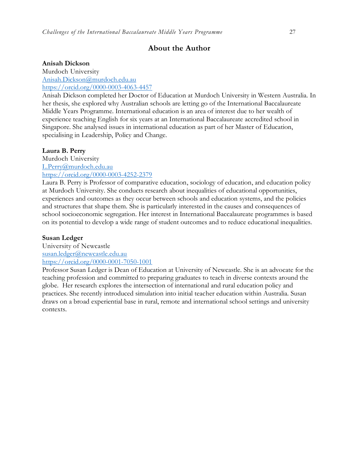### **About the Author**

#### **Anisah Dickson**

Murdoch University [Anisah.Dickson@murdoch.edu.au](mailto:Anisah.Dickson@murdoch.edu.au) <https://orcid.org/0000-0003-4063-4457>

Anisah Dickson completed her Doctor of Education at Murdoch University in Western Australia. In her thesis, she explored why Australian schools are letting go of the International Baccalaureate Middle Years Programme. International education is an area of interest due to her wealth of experience teaching English for six years at an International Baccalaureate accredited school in Singapore. She analysed issues in international education as part of her Master of Education, specialising in Leadership, Policy and Change.

#### **Laura B. Perry**

Murdoch University [L.Perry@murdoch.edu.au](mailto:L.Perry@murdoch.edu.au) <https://orcid.org/0000-0003-4252-2379>

Laura B. Perry is Professor of comparative education, sociology of education, and education policy at Murdoch University. She conducts research about inequalities of educational opportunities, experiences and outcomes as they occur between schools and education systems, and the policies and structures that shape them. She is particularly interested in the causes and consequences of school socioeconomic segregation. Her interest in International Baccalaureate programmes is based on its potential to develop a wide range of student outcomes and to reduce educational inequalities.

#### **Susan Ledger**

University of Newcastle [susan.ledger@newcastle.edu.au](mailto:susan.ledger@newcastle.edu.au) <https://orcid.org/0000-0001-7050-1001>

Professor Susan Ledger is Dean of Education at University of Newcastle. She is an advocate for the teaching profession and committed to preparing graduates to teach in diverse contexts around the globe. Her research explores the intersection of international and rural education policy and practices. She recently introduced simulation into initial teacher education within Australia. Susan draws on a broad experiential base in rural, remote and international school settings and university contexts.